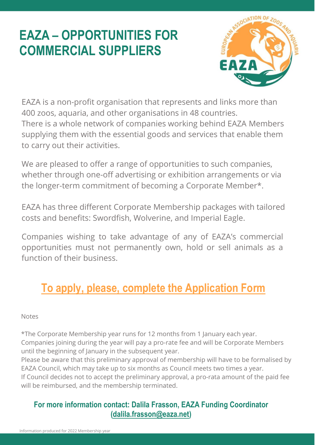

EAZA is a non-profit organisation that represents and links more than 400 zoos, aquaria, and other organisations in 48 countries. There is a whole network of companies working behind EAZA Members supplying them with the essential goods and services that enable them to carry out their activities.

We are pleased to offer a range of opportunities to such companies, whether through one-off advertising or exhibition arrangements or via the longer-term commitment of becoming a Corporate Member\*.

EAZA has three different Corporate Membership packages with tailored costs and benefits: Swordfish, Wolverine, and Imperial Eagle.

Companies wishing to take advantage of any of EAZA's commercial opportunities must not permanently own, hold or sell animals as a function of their business.

## **[To apply, please, complete the Application Form](https://www.eaza.net/assets/Uploads/Corporate-membership/Docs/2-11-2021-Corporate-Member-Application-Form.docx)**

#### Notes

\*The Corporate Membership year runs for 12 months from 1 January each year. Companies joining during the year will pay a pro-rate fee and will be Corporate Members until the beginning of January in the subsequent year.

Please be aware that this preliminary approval of membership will have to be formalised by EAZA Council, which may take up to six months as Council meets two times a year. If Council decides not to accept the preliminary approval, a pro-rata amount of the paid fee will be reimbursed, and the membership terminated.

### **For more information contact: Dalila Frasson, EAZA Funding Coordinator [\(dalila.frasson@eaza.net\)](mailto:dalila.frasson@eaza.net)**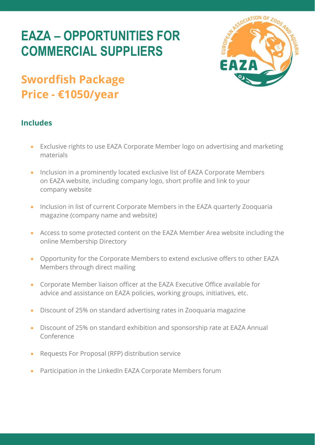



#### **Includes**

- Exclusive rights to use EAZA Corporate Member logo on advertising and marketing materials
- Inclusion in a prominently located exclusive list of EAZA Corporate Members on EAZA website, including company logo, short profile and link to your company website
- Inclusion in list of current Corporate Members in the EAZA quarterly Zooquaria magazine (company name and website)
- Access to some protected content on the EAZA Member Area website including the online Membership Directory
- Opportunity for the Corporate Members to extend exclusive offers to other EAZA Members through direct mailing
- Corporate Member liaison officer at the EAZA Executive Office available for advice and assistance on EAZA policies, working groups, initiatives, etc.
- Discount of 25% on standard advertising rates in Zooquaria magazine
- Discount of 25% on standard exhibition and sponsorship rate at EAZA Annual Conference
- Requests For Proposal (RFP) distribution service
- Participation in the LinkedIn EAZA Corporate Members forum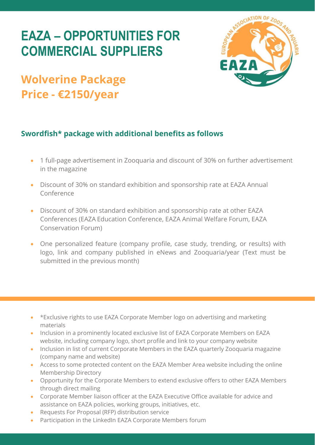

### **Wolverine Package Price - €2150/year**

#### **Swordfish\* package with additional benefits as follows**

- 1 full-page advertisement in Zooquaria and discount of 30% on further advertisement in the magazine
- Discount of 30% on standard exhibition and sponsorship rate at EAZA Annual Conference
- Discount of 30% on standard exhibition and sponsorship rate at other EAZA Conferences (EAZA Education Conference, EAZA Animal Welfare Forum, EAZA Conservation Forum)
- One personalized feature (company profile, case study, trending, or results) with logo, link and company published in eNews and Zooquaria/year (Text must be submitted in the previous month)

- \*Exclusive rights to use EAZA Corporate Member logo on advertising and marketing materials
- Inclusion in a prominently located exclusive list of EAZA Corporate Members on EAZA website, including company logo, short profile and link to your company website
- Inclusion in list of current Corporate Members in the EAZA quarterly Zooquaria magazine (company name and website)
- Access to some protected content on the EAZA Member Area website including the online Membership Directory
- Opportunity for the Corporate Members to extend exclusive offers to other EAZA Members through direct mailing
- Corporate Member liaison officer at the EAZA Executive Office available for advice and assistance on EAZA policies, working groups, initiatives, etc.
- Requests For Proposal (RFP) distribution service
- Participation in the LinkedIn EAZA Corporate Members forum